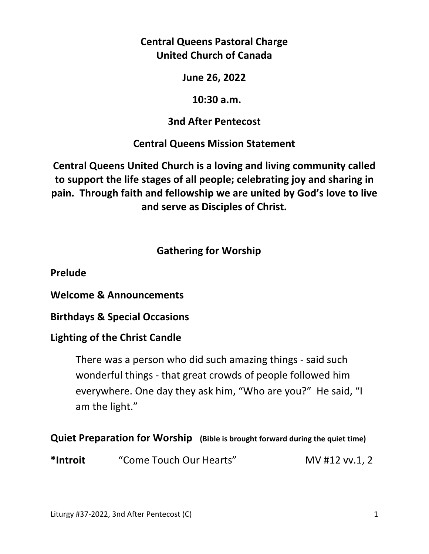**Central Queens Pastoral Charge United Church of Canada** 

**June 26, 2022** 

 **10:30 a.m.** 

# **3nd After Pentecost**

**Central Queens Mission Statement** 

**Central Queens United Church is a loving and living community called to support the life stages of all people; celebrating joy and sharing in pain. Through faith and fellowship we are united by God's love to live and serve as Disciples of Christ.**

# **Gathering for Worship**

**Prelude** 

**Welcome & Announcements** 

**Birthdays & Special Occasions** 

# **Lighting of the Christ Candle**

There was a person who did such amazing things - said such wonderful things - that great crowds of people followed him everywhere. One day they ask him, "Who are you?" He said, "I am the light."

# **Quiet Preparation for Worship (Bible is brought forward during the quiet time)**

**\*Introit** "Come Touch Our Hearts" MV #12 vv.1, 2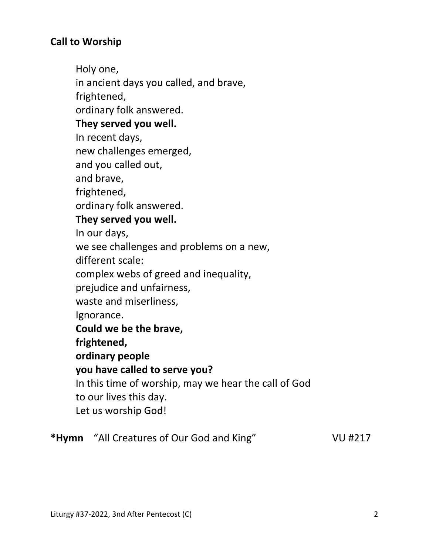# **Call to Worship**

Holy one, in ancient days you called, and brave, frightened, ordinary folk answered. **They served you well.**  In recent days, new challenges emerged, and you called out, and brave, frightened, ordinary folk answered.  **They served you well.**  In our days, we see challenges and problems on a new, different scale: complex webs of greed and inequality, prejudice and unfairness, waste and miserliness, Ignorance.  **Could we be the brave, frightened, ordinary people you have called to serve you?**  In this time of worship, may we hear the call of God to our lives this day. Let us worship God! **\*Hymn** "All Creatures of Our God and King" VU #217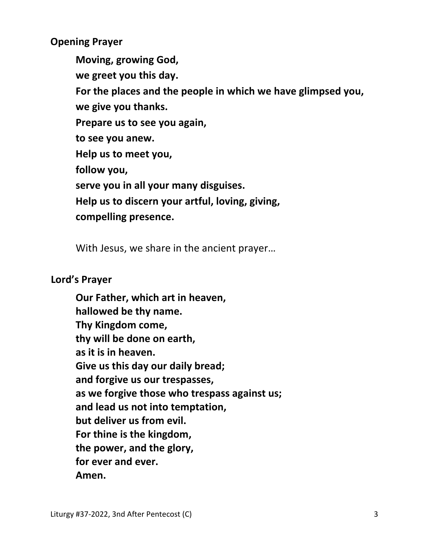**Opening Prayer** 

 **Moving, growing God, we greet you this day. For the places and the people in which we have glimpsed you, we give you thanks. Prepare us to see you again, to see you anew. Help us to meet you, follow you, serve you in all your many disguises. Help us to discern your artful, loving, giving, compelling presence.** 

With Jesus, we share in the ancient prayer…

### **Lord's Prayer**

**Our Father, which art in heaven, hallowed be thy name. Thy Kingdom come, thy will be done on earth, as it is in heaven. Give us this day our daily bread; and forgive us our trespasses, as we forgive those who trespass against us; and lead us not into temptation, but deliver us from evil. For thine is the kingdom, the power, and the glory, for ever and ever. Amen.**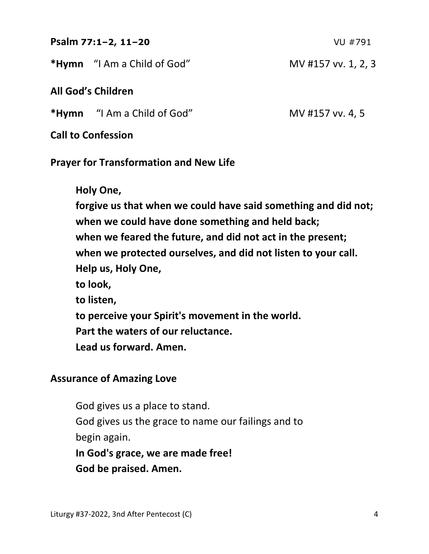| Psalm 77:1-2, 11-20                | VU #791             |  |  |
|------------------------------------|---------------------|--|--|
| <b>*Hymn</b> "I Am a Child of God" | MV #157 vv. 1, 2, 3 |  |  |
| <b>All God's Children</b>          |                     |  |  |
| <b>*Hymn</b> "I Am a Child of God" | MV #157 vv. 4, 5    |  |  |
|                                    |                     |  |  |

**Call to Confession** 

### **Prayer for Transformation and New Life**

 **Holy One, forgive us that when we could have said something and did not; when we could have done something and held back; when we feared the future, and did not act in the present; when we protected ourselves, and did not listen to your call. Help us, Holy One, to look, to listen, to perceive your Spirit's movement in the world. Part the waters of our reluctance. Lead us forward. Amen.** 

# **Assurance of Amazing Love**

 God gives us a place to stand. God gives us the grace to name our failings and to begin again.

**In God's grace, we are made free! God be praised. Amen.**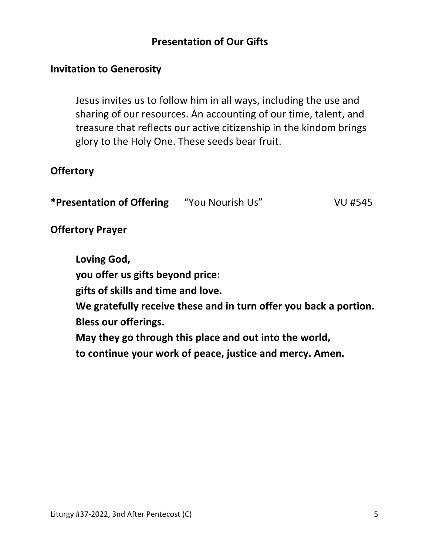## **Presentation of Our Gifts**

#### **Invitation to Generosity**

 Jesus invites us to follow him in all ways, including the use and sharing of our resources. An accounting of our time, talent, and treasure that reflects our active citizenship in the kindom brings glory to the Holy One. These seeds bear fruit.

### **Offertory**

| *Presentation of Offering | "You Nourish Us" | VU #545 |
|---------------------------|------------------|---------|
|---------------------------|------------------|---------|

### **Offertory Prayer**

 **Loving God, you offer us gifts beyond price: gifts of skills and time and love. We gratefully receive these and in turn offer you back a portion. Bless our offerings. May they go through this place and out into the world, to continue your work of peace, justice and mercy. Amen.**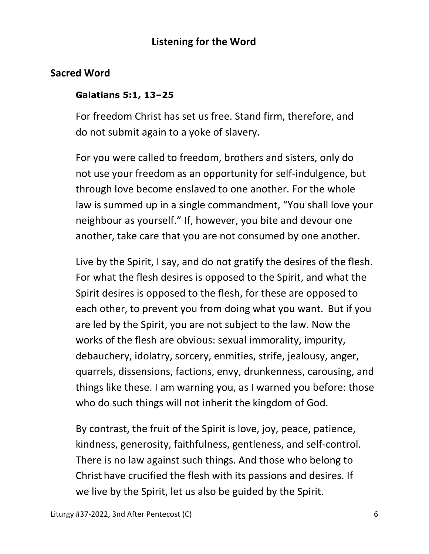## **Listening for the Word**

### **Sacred Word**

#### **Galatians 5:1, 13–25**

For freedom Christ has set us free. Stand firm, therefore, and do not submit again to a yoke of slavery.

For you were called to freedom, brothers and sisters, only do not use your freedom as an opportunity for self-indulgence, but through love become enslaved to one another. For the whole law is summed up in a single commandment, "You shall love your neighbour as yourself." If, however, you bite and devour one another, take care that you are not consumed by one another.

Live by the Spirit, I say, and do not gratify the desires of the flesh. For what the flesh desires is opposed to the Spirit, and what the Spirit desires is opposed to the flesh, for these are opposed to each other, to prevent you from doing what you want. But if you are led by the Spirit, you are not subject to the law. Now the works of the flesh are obvious: sexual immorality, impurity, debauchery, idolatry, sorcery, enmities, strife, jealousy, anger, quarrels, dissensions, factions, envy, drunkenness, carousing, and things like these. I am warning you, as I warned you before: those who do such things will not inherit the kingdom of God.

By contrast, the fruit of the Spirit is love, joy, peace, patience, kindness, generosity, faithfulness, gentleness, and self-control. There is no law against such things. And those who belong to Christ have crucified the flesh with its passions and desires. If we live by the Spirit, let us also be guided by the Spirit.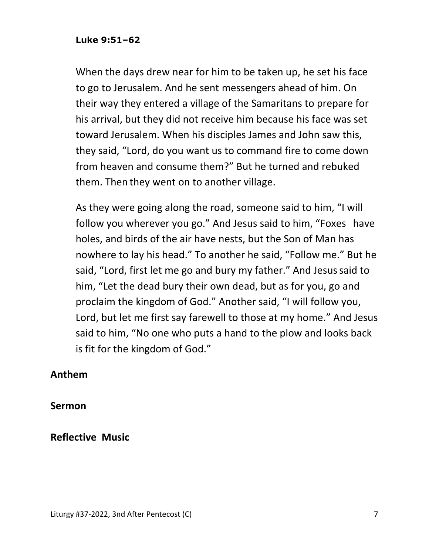#### **Luke 9:51–62**

When the days drew near for him to be taken up, he set his face to go to Jerusalem. And he sent messengers ahead of him. On their way they entered a village of the Samaritans to prepare for his arrival, but they did not receive him because his face was set toward Jerusalem. When his disciples James and John saw this, they said, "Lord, do you want us to command fire to come down from heaven and consume them?" But he turned and rebuked them. Then they went on to another village.

As they were going along the road, someone said to him, "I will follow you wherever you go." And Jesus said to him, "Foxes have holes, and birds of the air have nests, but the Son of Man has nowhere to lay his head." To another he said, "Follow me." But he said, "Lord, first let me go and bury my father." And Jesussaid to him, "Let the dead bury their own dead, but as for you, go and proclaim the kingdom of God." Another said, "I will follow you, Lord, but let me first say farewell to those at my home." And Jesus said to him, "No one who puts a hand to the plow and looks back is fit for the kingdom of God."

#### **Anthem**

**Sermon** 

#### **Reflective Music**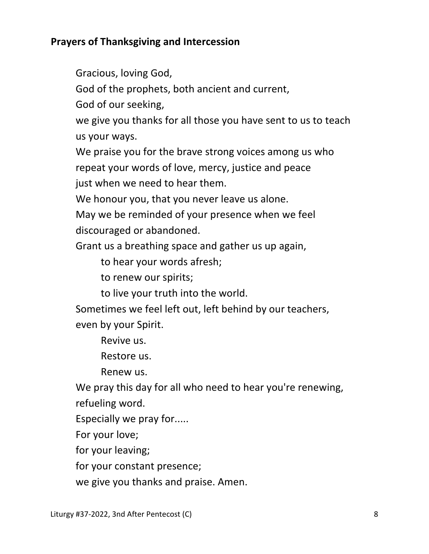# **Prayers of Thanksgiving and Intercession**

Gracious, loving God,

God of the prophets, both ancient and current,

God of our seeking,

 we give you thanks for all those you have sent to us to teach us your ways.

We praise you for the brave strong voices among us who

repeat your words of love, mercy, justice and peace

just when we need to hear them.

We honour you, that you never leave us alone.

 May we be reminded of your presence when we feel discouraged or abandoned.

Grant us a breathing space and gather us up again,

to hear your words afresh;

to renew our spirits;

to live your truth into the world.

 Sometimes we feel left out, left behind by our teachers, even by your Spirit.

Revive us.

Restore us.

Renew us.

We pray this day for all who need to hear you're renewing, refueling word.

Especially we pray for.....

For your love;

for your leaving;

for your constant presence;

we give you thanks and praise. Amen.